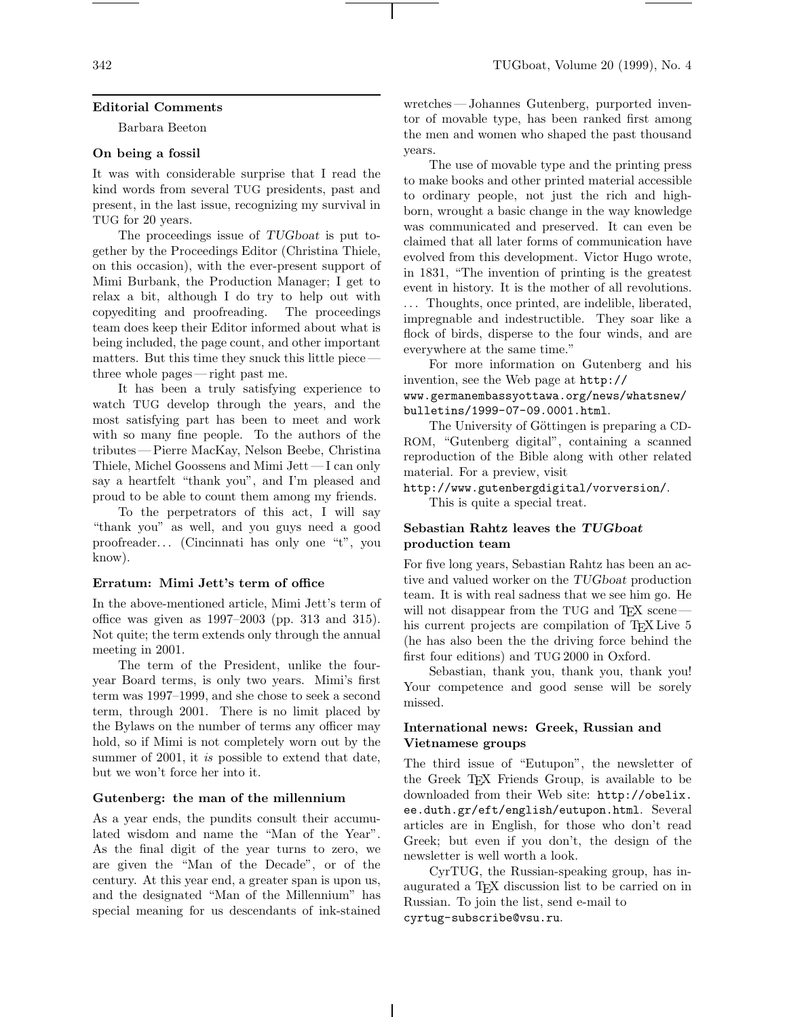### **Editorial Comments**

Barbara Beeton

### **On being a fossil**

It was with considerable surprise that I read the kind words from several TUG presidents, past and present, in the last issue, recognizing my survival in TUG for 20 years.

The proceedings issue of *TUGboat* is put together by the Proceedings Editor (Christina Thiele, on this occasion), with the ever-present support of Mimi Burbank, the Production Manager; I get to relax a bit, although I do try to help out with copyediting and proofreading. The proceedings team does keep their Editor informed about what is being included, the page count, and other important matters. But this time they snuck this little piece three whole pages— right past me.

It has been a truly satisfying experience to watch TUG develop through the years, and the most satisfying part has been to meet and work with so many fine people. To the authors of the tributes — Pierre MacKay, Nelson Beebe, Christina Thiele, Michel Goossens and Mimi Jett— I can only say a heartfelt "thank you", and I'm pleased and proud to be able to count them among my friends.

To the perpetrators of this act, I will say "thank you" as well, and you guys need a good proofreader. . . (Cincinnati has only one "t", you know).

### **Erratum: Mimi Jett's term of office**

In the above-mentioned article, Mimi Jett's term of office was given as 1997–2003 (pp. 313 and 315). Not quite; the term extends only through the annual meeting in 2001.

The term of the President, unlike the fouryear Board terms, is only two years. Mimi's first term was 1997–1999, and she chose to seek a second term, through 2001. There is no limit placed by the Bylaws on the number of terms any officer may hold, so if Mimi is not completely worn out by the summer of 2001, it *is* possible to extend that date, but we won't force her into it.

### **Gutenberg: the man of the millennium**

As a year ends, the pundits consult their accumulated wisdom and name the "Man of the Year". As the final digit of the year turns to zero, we are given the "Man of the Decade", or of the century. At this year end, a greater span is upon us, and the designated "Man of the Millennium" has special meaning for us descendants of ink-stained

wretches— Johannes Gutenberg, purported inventor of movable type, has been ranked first among the men and women who shaped the past thousand years.

The use of movable type and the printing press to make books and other printed material accessible to ordinary people, not just the rich and highborn, wrought a basic change in the way knowledge was communicated and preserved. It can even be claimed that all later forms of communication have evolved from this development. Victor Hugo wrote, in 1831, "The invention of printing is the greatest event in history. It is the mother of all revolutions. . . . Thoughts, once printed, are indelible, liberated, impregnable and indestructible. They soar like a flock of birds, disperse to the four winds, and are everywhere at the same time."

For more information on Gutenberg and his invention, see the Web page at http:// www.germanembassyottawa.org/news/whatsnew/ bulletins/1999-07-09.0001.html.

The University of Göttingen is preparing a CD-ROM, "Gutenberg digital", containing a scanned reproduction of the Bible along with other related material. For a preview, visit

http://www.gutenbergdigital/vorversion/. This is quite a special treat.

# **Sebastian Rahtz leaves the** *TUGboat* **production team**

For five long years, Sebastian Rahtz has been an active and valued worker on the *TUGboat* production team. It is with real sadness that we see him go. He will not disappear from the TUG and T<sub>EX</sub> scene his current projects are compilation of T<sub>EX</sub> Live 5 (he has also been the the driving force behind the first four editions) and TUG 2000 in Oxford.

Sebastian, thank you, thank you, thank you! Your competence and good sense will be sorely missed.

## **International news: Greek, Russian and Vietnamese groups**

The third issue of "Eutupon", the newsletter of the Greek TFX Friends Group, is available to be downloaded from their Web site: http://obelix. ee.duth.gr/eft/english/eutupon.html. Several articles are in English, for those who don't read Greek; but even if you don't, the design of the newsletter is well worth a look.

CyrTUG, the Russian-speaking group, has inaugurated a TEX discussion list to be carried on in Russian. To join the list, send e-mail to cyrtug-subscribe@vsu.ru.